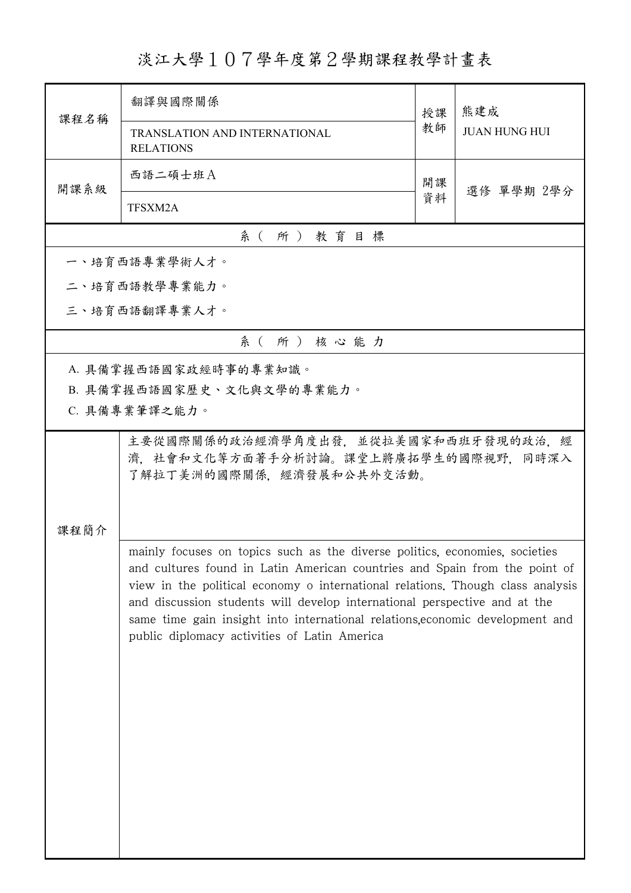淡江大學107學年度第2學期課程教學計畫表

| 課程名稱                                                                                                                                                                                                                                                                                                                                                                                                                                                      | 翻譯與國際關係                                                                                                | 授課 | 熊建成<br><b>JUAN HUNG HUI</b> |  |
|-----------------------------------------------------------------------------------------------------------------------------------------------------------------------------------------------------------------------------------------------------------------------------------------------------------------------------------------------------------------------------------------------------------------------------------------------------------|--------------------------------------------------------------------------------------------------------|----|-----------------------------|--|
|                                                                                                                                                                                                                                                                                                                                                                                                                                                           | TRANSLATION AND INTERNATIONAL<br><b>RELATIONS</b>                                                      | 教師 |                             |  |
| 開課系級                                                                                                                                                                                                                                                                                                                                                                                                                                                      | 西語二碩士班A                                                                                                | 開課 | 選修 單學期 2學分                  |  |
|                                                                                                                                                                                                                                                                                                                                                                                                                                                           | TFSXM2A                                                                                                | 資料 |                             |  |
|                                                                                                                                                                                                                                                                                                                                                                                                                                                           | 系(所)教育目標                                                                                               |    |                             |  |
|                                                                                                                                                                                                                                                                                                                                                                                                                                                           | 一、培育西語專業學術人才。                                                                                          |    |                             |  |
|                                                                                                                                                                                                                                                                                                                                                                                                                                                           | 二、培育西語教學專業能力。                                                                                          |    |                             |  |
|                                                                                                                                                                                                                                                                                                                                                                                                                                                           | 三、培育西語翻譯專業人才。                                                                                          |    |                             |  |
|                                                                                                                                                                                                                                                                                                                                                                                                                                                           | 系(所)核心能力                                                                                               |    |                             |  |
|                                                                                                                                                                                                                                                                                                                                                                                                                                                           | A. 具備掌握西語國家政經時事的專業知識。                                                                                  |    |                             |  |
|                                                                                                                                                                                                                                                                                                                                                                                                                                                           | B. 具備掌握西語國家歷史、文化與文學的專業能力。                                                                              |    |                             |  |
|                                                                                                                                                                                                                                                                                                                                                                                                                                                           | C. 具備專業筆譯之能力。                                                                                          |    |                             |  |
|                                                                                                                                                                                                                                                                                                                                                                                                                                                           | 主要從國際關係的政治經濟學角度出發,並從拉美國家和西班牙發現的政治,經<br>濟,社會和文化等方面著手分析討論。課堂上將廣拓學生的國際視野,同時深入<br>了解拉丁美洲的國際關係,經濟發展和公共外交活動。 |    |                             |  |
| 课程简介                                                                                                                                                                                                                                                                                                                                                                                                                                                      |                                                                                                        |    |                             |  |
| mainly focuses on topics such as the diverse politics, economies, societies<br>and cultures found in Latin American countries and Spain from the point of<br>view in the political economy o international relations. Though class analysis<br>and discussion students will develop international perspective and at the<br>same time gain insight into international relations, economic development and<br>public diplomacy activities of Latin America |                                                                                                        |    |                             |  |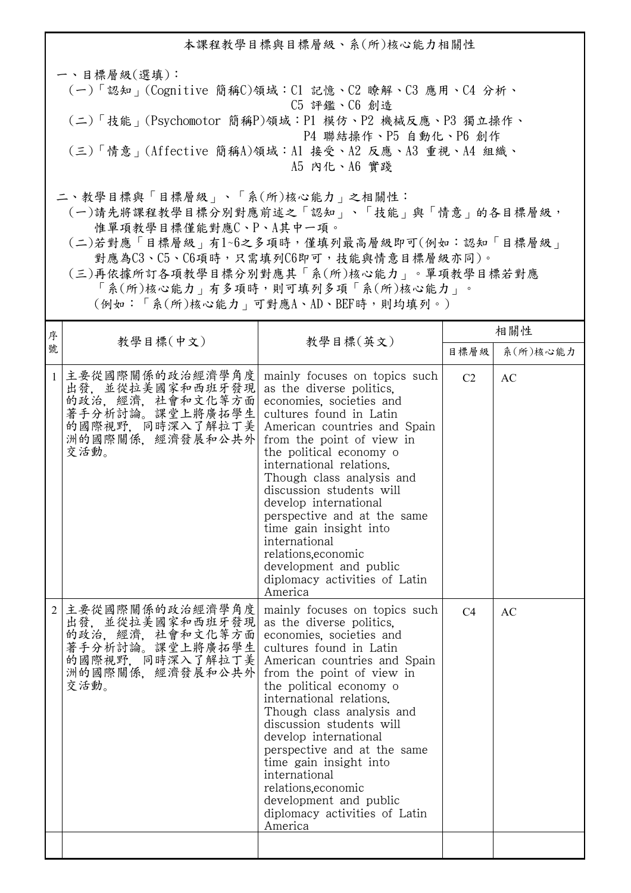本課程教學目標與目標層級、系(所)核心能力相關性 一、目標層級(選填): (一)「認知」(Cognitive 簡稱C)領域:C1 記憶、C2 瞭解、C3 應用、C4 分析、 C5 評鑑、C6 創造 (二)「技能」(Psychomotor 簡稱P)領域:P1 模仿、P2 機械反應、P3 獨立操作、 P4 聯結操作、P5 自動化、P6 創作 (三)「情意」(Affective 簡稱A)領域:A1 接受、A2 反應、A3 重視、A4 組織、 A5 內化、A6 實踐 二、教學目標與「目標層級」、「系(所)核心能力」之相關性:

 (一)請先將課程教學目標分別對應前述之「認知」、「技能」與「情意」的各目標層級, 惟單項教學目標僅能對應C、P、A其中一項。

 (二)若對應「目標層級」有1~6之多項時,僅填列最高層級即可(例如:認知「目標層級」 對應為C3、C5、C6項時,只需填列C6即可,技能與情意目標層級亦同)。

 (三)再依據所訂各項教學目標分別對應其「系(所)核心能力」。單項教學目標若對應 「系(所)核心能力」有多項時,則可填列多項「系(所)核心能力」。

(例如:「系(所)核心能力」可對應A、AD、BEF時,則均填列。)

| 序              | 教學目標(中文)                                                                                                                   | 教學目標(英文)                                                                                                                                                                                                                                                                                                                                                                                                                                                                                       | 相關性            |           |  |
|----------------|----------------------------------------------------------------------------------------------------------------------------|------------------------------------------------------------------------------------------------------------------------------------------------------------------------------------------------------------------------------------------------------------------------------------------------------------------------------------------------------------------------------------------------------------------------------------------------------------------------------------------------|----------------|-----------|--|
| 號              |                                                                                                                            |                                                                                                                                                                                                                                                                                                                                                                                                                                                                                                | 目標層級           | 系(所)核心能力  |  |
| $\mathbf{1}$   | 主要從國際關係的政治經濟學角度<br>出發, 並從拉美國家和西班牙發現<br>的政治, 經濟, 社會和文化等方面<br>著手分析討論。課堂上將廣拓學生<br>的國際視野,同時深入了解拉丁美<br>洲的國際關係, 經濟發展和公共外<br>交活動。 | mainly focuses on topics such<br>as the diverse politics.<br>economies, societies and<br>cultures found in Latin<br>American countries and Spain<br>from the point of view in<br>the political economy o<br>international relations.<br>Though class analysis and<br>discussion students will<br>develop international<br>perspective and at the same<br>time gain insight into<br>international<br>relations.economic<br>development and public<br>diplomacy activities of Latin<br>America   | C <sub>2</sub> | AC        |  |
| $\overline{2}$ | 主要從國際關係的政治經濟學角度<br>出發, 並從拉美國家和西班牙發現<br>的政治, 經濟, 社會和文化等方面<br>著手分析討論。課堂上將廣拓學生<br>的國際視野,同時深入了解拉丁美<br>洲的國際關係, 經濟發展和公共外<br>交活動。 | mainly focuses on topics such<br>as the diverse politics.<br>economies, societies and<br>cultures found in Latin<br>American countries and Spain<br>from the point of view in<br>the political economy of<br>international relations.<br>Though class analysis and<br>discussion students will<br>develop international<br>perspective and at the same<br>time gain insight into<br>international<br>relations, economic<br>development and public<br>diplomacy activities of Latin<br>America | C <sub>4</sub> | <b>AC</b> |  |
|                |                                                                                                                            |                                                                                                                                                                                                                                                                                                                                                                                                                                                                                                |                |           |  |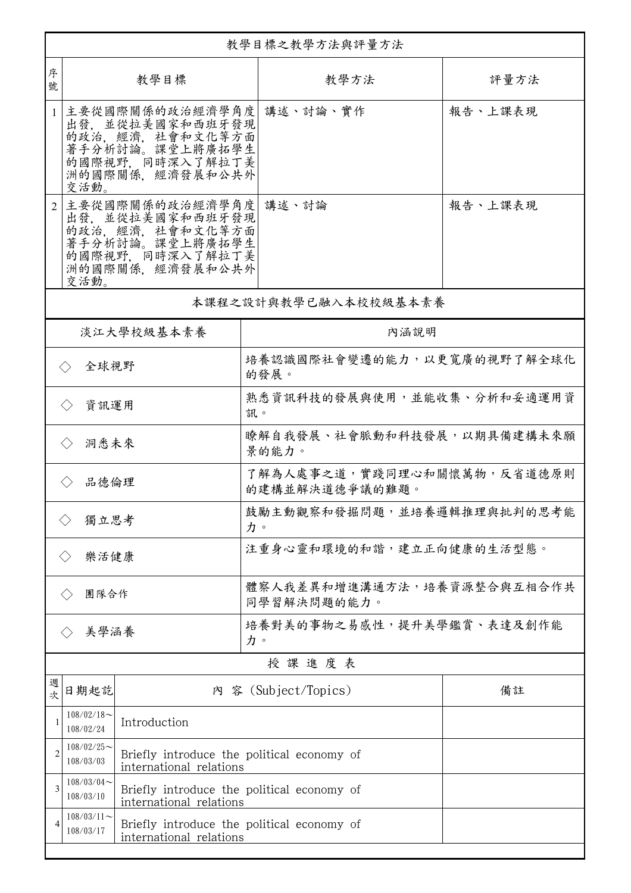|                                                                                                     | 教學目標之教學方法與評量方法             |                                                                                                                            |                                              |         |  |
|-----------------------------------------------------------------------------------------------------|----------------------------|----------------------------------------------------------------------------------------------------------------------------|----------------------------------------------|---------|--|
| 序<br>號                                                                                              | 教學目標                       |                                                                                                                            | 教學方法                                         | 評量方法    |  |
| $\mathbf{1}$                                                                                        | 交活動。                       | 主要從國際關係的政治經濟學角度 講述、討論、實作<br>出發, 並從拉美國家和西班牙發現<br>的政治, 經濟, 社會和文化等方面<br>著手分析討論。課堂上將廣拓學生<br>的國際視野,同時深入了解拉丁美<br>洲的國際關係、經濟發展和公共外 |                                              | 報告、上課表現 |  |
|                                                                                                     | 交活動。                       | 主要從國際關係的政治經濟學角度  講述、討論<br>出發, 並從拉美國家和西班牙發現<br>的政治,經濟,社會和文化等方面<br>著手分析討論。課堂上將廣拓學生<br>的國際視野, 同時深入了解拉丁美<br>洲的國際關係,經濟發展和公共外    |                                              | 報告、上課表現 |  |
|                                                                                                     |                            |                                                                                                                            | 本課程之設計與教學已融入本校校級基本素養                         |         |  |
|                                                                                                     |                            | 淡江大學校級基本素養                                                                                                                 | 內涵說明                                         |         |  |
|                                                                                                     | 全球視野<br>$\langle \rangle$  |                                                                                                                            | 培養認識國際社會變遷的能力,以更寬廣的視野了解全球化<br>的發展。           |         |  |
| 資訊運用<br>$\langle \ \rangle$                                                                         |                            |                                                                                                                            | 熟悉資訊科技的發展與使用,並能收集、分析和妥適運用資<br>訊。             |         |  |
| 洞悉未來<br>$\langle \rangle$                                                                           |                            |                                                                                                                            | 瞭解自我發展、社會脈動和科技發展,以期具備建構未來願<br>景的能力。          |         |  |
| 品德倫理                                                                                                |                            |                                                                                                                            | 了解為人處事之道,實踐同理心和關懷萬物,反省道德原則<br>的建構並解決道德爭議的難題。 |         |  |
| 獨立思考                                                                                                |                            |                                                                                                                            | 鼓勵主動觀察和發掘問題,並培養邏輯推理與批判的思考能<br>力。             |         |  |
| 樂活健康                                                                                                |                            |                                                                                                                            | 注重身心靈和環境的和諧,建立正向健康的生活型態。                     |         |  |
| 團隊合作                                                                                                |                            |                                                                                                                            | 體察人我差異和增進溝通方法,培養資源整合與互相合作共<br>同學習解決問題的能力。    |         |  |
|                                                                                                     | 美學涵養                       |                                                                                                                            | 培養對美的事物之易感性,提升美學鑑賞、表達及創作能<br>力。              |         |  |
|                                                                                                     | 授課進度表                      |                                                                                                                            |                                              |         |  |
| 週<br>次                                                                                              | 日期起訖                       |                                                                                                                            | 內 容 (Subject/Topics)                         | 備註      |  |
| 1                                                                                                   | $108/02/18$ ~<br>108/02/24 | Introduction                                                                                                               |                                              |         |  |
| $\overline{2}$                                                                                      | $108/02/25$ ~<br>108/03/03 | Briefly introduce the political economy of<br>international relations                                                      |                                              |         |  |
| 3                                                                                                   | $108/03/04$ ~<br>108/03/10 | Briefly introduce the political economy of<br>international relations                                                      |                                              |         |  |
| $108/03/11$ ~<br>Briefly introduce the political economy of<br>108/03/17<br>international relations |                            |                                                                                                                            |                                              |         |  |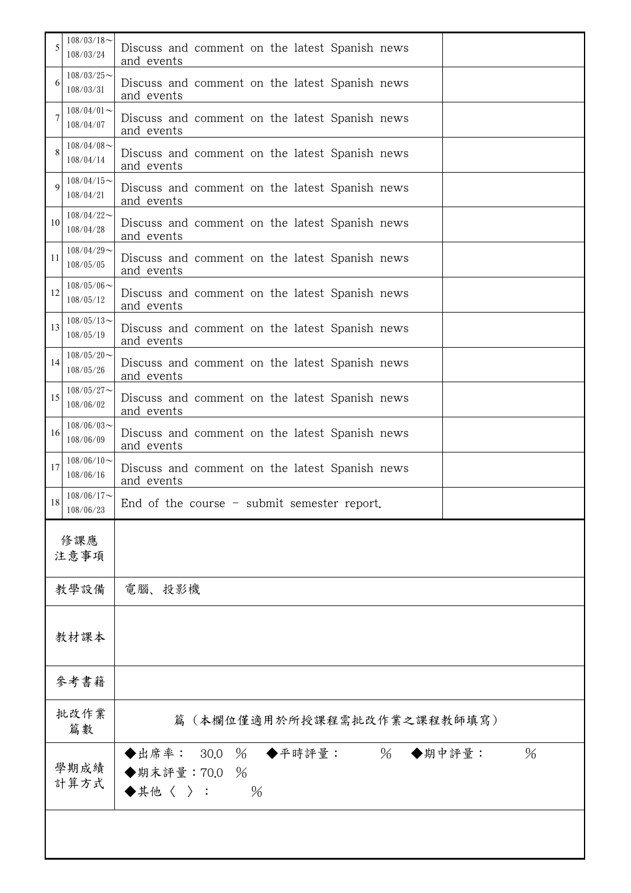| 5           | $108/03/18$ ~<br>108/03/24 | Discuss and comment on the latest Spanish news<br>and events                                  |  |
|-------------|----------------------------|-----------------------------------------------------------------------------------------------|--|
| 6           | $108/03/25$ ~<br>108/03/31 | Discuss and comment on the latest Spanish news<br>and events                                  |  |
| 7           | $108/04/01$ ~<br>108/04/07 | Discuss and comment on the latest Spanish news<br>and events                                  |  |
| 8           | $108/04/08$ ~<br>108/04/14 | Discuss and comment on the latest Spanish news<br>and events                                  |  |
| $\mathbf Q$ | $108/04/15$ ~<br>108/04/21 | Discuss and comment on the latest Spanish news<br>and events                                  |  |
| 10          | $108/04/22$ ~<br>108/04/28 | Discuss and comment on the latest Spanish news<br>and events                                  |  |
| 11          | $108/04/29$ ~<br>108/05/05 | Discuss and comment on the latest Spanish news<br>and events                                  |  |
| 12          | $108/05/06$ ~<br>108/05/12 | Discuss and comment on the latest Spanish news<br>and events                                  |  |
| 13          | $108/05/13$ ~<br>108/05/19 | Discuss and comment on the latest Spanish news<br>and events                                  |  |
| 14          | $108/05/20$ ~<br>108/05/26 | Discuss and comment on the latest Spanish news<br>and events                                  |  |
| 15          | $108/05/27$ ~<br>108/06/02 | Discuss and comment on the latest Spanish news<br>and events                                  |  |
| 16          | $108/06/03$ ~<br>108/06/09 | Discuss and comment on the latest Spanish news<br>and events                                  |  |
| 17          | $108/06/10$ ~<br>108/06/16 | Discuss and comment on the latest Spanish news<br>and events                                  |  |
| 18          | $108/06/17$ ~<br>108/06/23 | End of the course $-$ submit semester report.                                                 |  |
|             | 修課應<br>注意事項                |                                                                                               |  |
|             | 教學設備                       | 電腦、投影機                                                                                        |  |
|             | 教材課本                       |                                                                                               |  |
|             | 參考書籍                       |                                                                                               |  |
|             | 批改作業<br>篇數                 | (本欄位僅適用於所授課程需批改作業之課程教師填寫)<br>篇                                                                |  |
|             | 學期成績<br>計算方式               | ◆平時評量: 26<br>◆出席率:<br>$\%$<br>30.0<br>$\%$<br>◆期中評量:<br>◆期末評量:70.0<br>$\%$<br>◆其他〈 〉:<br>$\%$ |  |
|             |                            |                                                                                               |  |